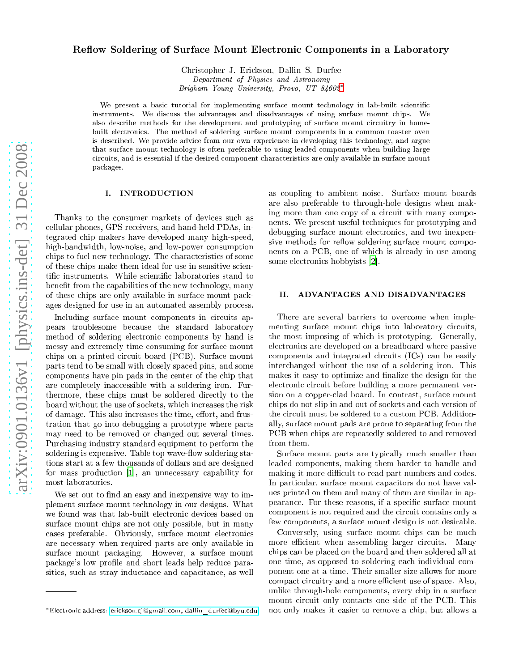# Reflow Soldering of Surface Mount Electronic Components in a Laboratory

Christopher J. Eri
kson, Dallin S. Durfee Department of Physi
s and Astronomy Brigham Young University, Provo, UT 84602[∗](#page-0-0)

We present a basic tutorial for implementing surface mount technology in lab-built scientific instruments. We discuss the advantages and disadvantages of using surface mount chips. We also describe methods for the development and prototyping of surface mount circuitry in homebuilt electronics. The method of soldering surface mount components in a common toaster oven is described. We provide advice from our own experience in developing this technology, and argue that surfa
e mount te
hnology is often preferable to using leaded omponents when building large circuits, and is essential if the desired component characteristics are only available in surface mount pa
kages.

# I. INTRODUCTION

Thanks to the onsumer markets of devi
es su
h as ellular phones, GPS re
eivers, and hand-held PDAs, integrated hip makers have developed many high-speed, high-bandwidth, low-noise, and low-power consumption chips to fuel new technology. The characteristics of some of these hips make them ideal for use in sensitive s
ientific instruments. While scientific laboratories stand to benefit from the capabilities of the new technology, many of these hips are only available in surfa
e mount pa
kages designed for use in an automated assembly process.

Including surface mount components in circuits appears troublesome be
ause the standard laboratory method of soldering electronic components by hand is messy and extremely time consuming for surface mount chips on a printed circuit board (PCB). Surface mount parts tend to be small with losely spa
ed pins, and some omponents have pin pads in the enter of the hip that are completely inaccessible with a soldering iron. Furthermore, these chips must be soldered directly to the board without the use of sockets, which increases the risk of damage. This also increases the time, effort, and frustration that go into debugging a prototype where parts may need to be removed or hanged out several times. Pur
hasing industry standard equipment to perform the soldering is expensive. Table top wave-flow soldering stations start at a few thousands of dollars and are designed for mass production [1], an unnecessary capability for most laboratories.

We set out to find an easy and inexpensive way to implement surfa
e mount te
hnology in our designs. What we found was that lab-built electronic devices based on surfa
e mount hips are not only possible, but in many cases preferable. Obviously, surface mount electronics are ne
essary when required parts are only available in surfa
e mount pa
kaging. However, a surfa
e mount package's low profile and short leads help reduce parasitics, such as stray inductance and capacitance, as well

as oupling to ambient noise. Surfa
e mount boards are also preferable to through-hole designs when making more than one copy of a circuit with many components. We present useful te
hniques for prototyping and debugging surfa
e mount ele
troni
s, and two inexpensive methods for reflow soldering surface mount components on a PCB, one of whi
h is already in use among some electronics hobbyists [2].

# II. ADVANTAGES AND DISADVANTAGES

There are several barriers to overcome when implementing surface mount chips into laboratory circuits, the most imposing of whi
h is prototyping. Generally, ele
troni
s are developed on a breadboard where passive omponents and integrated ir
uits (ICs) an be easily inter
hanged without the use of a soldering iron. This makes it easy to optimize and finalize the design for the electronic circuit before building a more permanent version on a opperlad board. In ontrast, surfa
e mount chips do not slip in and out of sockets and each version of the circuit must be soldered to a custom PCB. Additionally, surfa
e mount pads are prone to separating from the PCB when chips are repeatedly soldered to and removed from them.

Surface mount parts are typically much smaller than leaded omponents, making them harder to handle and making it more difficult to read part numbers and codes. In particular, surface mount capacitors do not have values printed on them and many of them are similar in appearance. For these reasons, if a specific surface mount component is not required and the circuit contains only a few omponents, a surfa
e mount design is not desirable.

Conversely, using surface mount chips can be much more efficient when assembling larger circuits. Many hips an be pla
ed on the board and then soldered all at one time, as opposed to soldering ea
h individual omponent one at a time. Their smaller size allows for more compact circuitry and a more efficient use of space. Also, unlike through-hole omponents, every hip in a surfa
e mount circuit only contacts one side of the PCB. This not only makes it easier to remove a chip, but allows a

<span id="page-0-0"></span><sup>∗</sup>Ele
troni address: eri
kson.
jgmail.
om, [dallin\\_durfeebyu.edu](mailto:erickson.cj@gmail.com, dallin_durfee@byu.edu)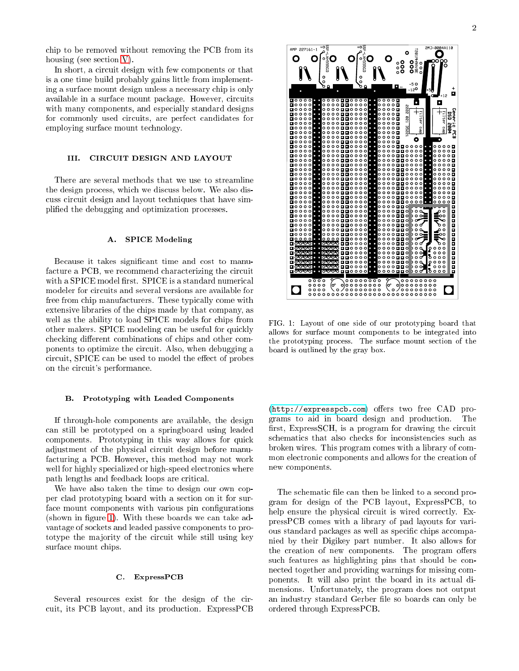chip to be removed without removing the PCB from its housing (see section [V\)](#page-4-0).

In short, a circuit design with few components or that is a one time build probably gains little from implementing a surfa
e mount design unless a ne
essary hip is only available in a surface mount package. However, circuits with many components, and especially standard designs for commonly used circuits, are perfect candidates for employing surfa
e mount te
hnology.

#### CIRCUIT DESIGN AND LAYOUT TTT.

There are several methods that we use to streamline the design process, which we discuss below. We also discuss circuit design and layout techniques that have simplied the debugging and optimization pro
esses.

## A. SPICE Modeling

Because it takes significant time and cost to manufacture a PCB, we recommend characterizing the circuit with a SPICE model first. SPICE is a standard numerical modeler for circuits and several versions are available for free from chip manufacturers. These typically come with extensive libraries of the chips made by that company, as well as the ability to load SPICE models for chips from other makers. SPICE modeling can be useful for quickly checking different combinations of chips and other components to optimize the circuit. Also, when debugging a circuit, SPICE can be used to model the effect of probes on the circuit's performance.

## B. Prototyping with Leaded Components

If through-hole omponents are available, the design an still be prototyped on a springboard using leaded omponents. Prototyping in this way allows for qui
k adjustment of the physical circuit design before manufacturing a PCB. However, this method may not work well for highly specialized or high-speed electronics where path lengths and feedba
k loops are riti
al.

We have also taken the time to design our own copper lad prototyping board with a se
tion on it for surface mount components with various pin configurations (shown in figure [1\)](#page-1-0). With these boards we can take advantage of sockets and leaded passive components to prototype the majority of the circuit while still using key surfa
e mount hips.

#### $\mathbf{C}$ . ExpressPCB

Several resources exist for the design of the circuit, its PCB layout, and its production. ExpressPCB



<span id="page-1-0"></span>FIG. 1: Layout of one side of our prototyping board that allows for surfa
e mount omponents to be integrated into the prototyping pro
ess. The surfa
e mount se
tion of the board is outlined by the gray box.

(http://expresspcb.com) offers two free CAD programs to aid in board design and produ
tion. The first, ExpressSCH, is a program for drawing the circuit schematics that also checks for inconsistencies such as broken wires. This program omes with a library of ommon electronic components and allows for the creation of new omponents.

The schematic file can then be linked to a second program for design of the PCB layout, ExpressPCB, to help ensure the physical circuit is wired correctly. ExpressPCB omes with a library of pad layouts for various standard packages as well as specific chips accompanied by their Digikey part number. It also allows for the creation of new components. The program offers such features as highlighting pins that should be connected together and providing warnings for missing components. It will also print the board in its actual dimensions. Unfortunately, the program does not output an industry standard Gerber file so boards can only be ordered through ExpressPCB.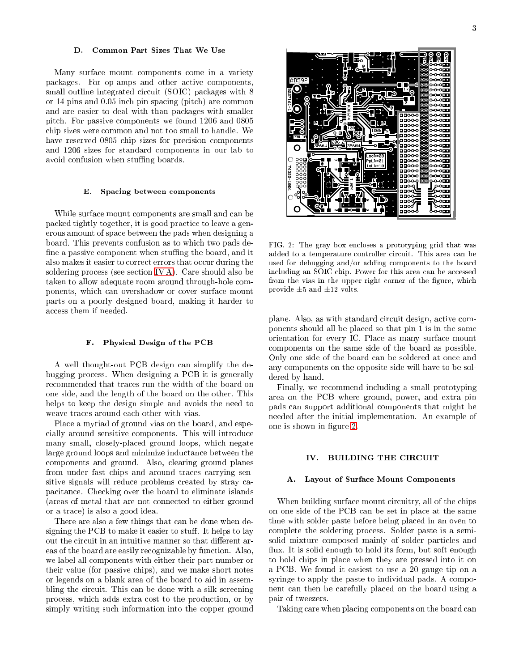### Common Part Sizes That We Use D.

Many surfa
e mount omponents ome in a variety pa
kages. For op-amps and other a
tive omponents, small outline integrated circuit (SOIC) packages with 8 or 14 pins and 0.05 inch pin spacing (pitch) are common and are easier to deal with than pa
kages with smaller pit
h. For passive omponents we found 1206 and 0805 chip sizes were common and not too small to handle. We have reserved 0805 chip sizes for precision components and 1206 sizes for standard omponents in our lab to avoid confusion when stuffing boards.

## E. Spacing between components

While surface mount components are small and can be pa
ked tightly together, it is good pra
ti
e to leave a generous amount of spa
e between the pads when designing a board. This prevents onfusion as to whi
h two pads de fine a passive component when stuffing the board, and it also makes it easier to correct errors that occur during the soldering pro
ess (see se
tion [IV A\)](#page-2-0). Care should also be taken to allow adequate room around through-hole omponents, whi
h an overshadow or over surfa
e mount parts on a poorly designed board, making it harder to access them if needed.

### F. Physi
al Design of the PCB

A well thought-out PCB design an simplify the debugging pro
ess. When designing a PCB it is generally re
ommended that tra
es run the width of the board on one side, and the length of the board on the other. This helps to keep the design simple and avoids the need to weave tra
es around ea
h other with vias.

Pla
e a myriad of ground vias on the board, and espe cially around sensitive components. This will introduce many small, losely-pla
ed ground loops, whi
h negate large ground loops and minimize indu
tan
e between the omponents and ground. Also, learing ground planes from under fast chips and around traces carrying sensitive signals will reduce problems created by stray capa
itan
e. Che
king over the board to eliminate islands (areas of metal that are not onne
ted to either ground or a tra
e) is also a good idea.

There are also a few things that an be done when designing the PCB to make it easier to stuff. It helps to lay out the circuit in an intuitive manner so that different areas of the board are easily recognizable by function. Also, we label all omponents with either their part number or their value (for passive hips), and we make short notes or legends on a blank area of the board to aid in assembling the circuit. This can be done with a silk screening pro
ess, whi
h adds extra ost to the produ
tion, or by simply writing su
h information into the opper ground

oaa эŒ 200 סמכ ooo ЮŌ ۷nn ooo ooo **orun** 

<span id="page-2-1"></span>FIG. 2: The gray box encloses a prototyping grid that was added to a temperature controller circuit. This area can be used for debugging and/or adding omponents to the board including an SOIC chip. Power for this area can be accessed from the vias in the upper right corner of the figure, which provide  $\pm 5$  and  $\pm 12$  volts.

plane. Also, as with standard circuit design, active components should all be pla
ed so that pin 1 is in the same orientation for every IC. Pla
e as many surfa
e mount omponents on the same side of the board as possible. Only one side of the board can be soldered at once and any omponents on the opposite side will have to be soldered by hand.

Finally, we re
ommend in
luding a small prototyping area on the PCB where ground, power, and extra pin pads an support additional omponents that might be needed after the initial implementation. An example of one is shown in figure [2.](#page-2-1)

### BUILDING THE CIRCUIT IV.

# <span id="page-2-0"></span>A. Layout of Surfa
e Mount Components

When building surface mount circuitry, all of the chips on one side of the PCB an be set in pla
e at the same time with solder paste before being pla
ed in an oven to omplete the soldering pro
ess. Solder paste is a semisolid mixture omposed mainly of solder parti
les and flux. It is solid enough to hold its form, but soft enough to hold hips in pla
e when they are pressed into it on a PCB. We found it easiest to use a 20 gauge tip on a syringe to apply the paste to individual pads. A component an then be arefully pla
ed on the board using a pair of tweezers.

Taking care when placing components on the board can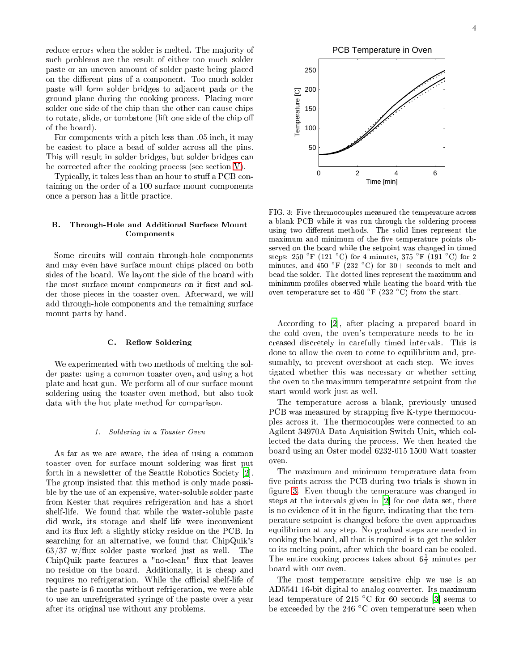reduce errors when the solder is melted. The majority of su
h problems are the result of either too mu
h solder paste or an uneven amount of solder paste being pla
ed on the different pins of a component. Too much solder paste will form solder bridges to adja
ent pads or the ground plane during the ooking pro
ess. Pla
ing more solder one side of the chip than the other can cause chips to rotate, slide, or tombstone (lift one side of the chip off of the board).

For components with a pitch less than  $.05$  inch, it may be easiest to pla
e a bead of solder a
ross all the pins. This will result in solder bridges, but solder bridges an be corrected after the cooking process (see section [V\)](#page-4-0).

Typically, it takes less than an hour to stuff a PCB containing on the order of a 100 surfa
e mount omponents once a person has a little practice.

# B. Through-Hole and Additional Surfa
e Mount Components

Some circuits will contain through-hole components and may even have surfa
e mount hips pla
ed on both sides of the board. We layout the side of the board with the most surface mount components on it first and solder those pie
es in the toaster oven. Afterward, we will add through-hole omponents and the remaining surfa
e mount parts by hand.

## C. Reflow Soldering

We experimented with two methods of melting the solder paste: using a ommon toaster oven, and using a hot plate and heat gun. We perform all of our surfa
e mount soldering using the toaster oven method, but also took data with the hot plate method for omparison.

### 1. Soldering in a Toaster Oven

As far as we are aware, the idea of using a ommon toaster oven for surface mount soldering was first put forth in a newsletter of the Seattle Robotics Society [2]. The group insisted that this method is only made possible by the use of an expensive, water-soluble solder paste from Kester that requires refrigeration and has a short shelf-life. We found that while the water-soluble paste did work, its storage and shelf life were in
onvenient and its flux left a slightly sticky residue on the PCB. In sear
hing for an alternative, we found that ChipQuik's  $63/37$  w/flux solder paste worked just as well. The ChipQuik paste features a "no-clean" flux that leaves no residue on the board. Additionally, it is heap and requires no refrigeration. While the official shelf-life of the paste is 6 months without refrigeration, we were able to use an unrefrigerated syringe of the paste over a year after its original use without any problems.



<span id="page-3-0"></span>FIG. 3: Five thermocouples measured the temperature across a blank PCB while it was run through the soldering process using two different methods. The solid lines represent the maximum and minimum of the five temperature points observed on the board while the setpoint was hanged in timed steps: 250 °F (121 °C) for 4 minutes, 375 °F (191 °C) for 2 minutes, and 450 °F (232 °C) for 30+ seconds to melt and bead the solder. The dotted lines represent the maximum and minimum profiles observed while heating the board with the oven temperature set to 450  $\degree$ F (232  $\degree$ C) from the start.

According to [2], after placing a prepared board in the old oven, the oven's temperature needs to be in reased dis
retely in arefully timed intervals. This is done to allow the oven to come to equilibrium and, presumably, to prevent overshoot at each step. We investigated whether this was ne
essary or whether setting the oven to the maximum temperature setpoint from the start would work just as well.

The temperature across a blank, previously unused PCB was measured by strapping five K-type thermocouples a
ross it. The thermo
ouples were onne
ted to an Agilent 34970A Data Aquisition Swit
h Unit, whi
h ollected the data during the process. We then heated the board using an Oster model 6232-015 1500 Watt toaster oven.

The maximum and minimum temperature data from five points across the PCB during two trials is shown in figure [3.](#page-3-0) Even though the temperature was changed in steps at the intervals given in  $[2]$  $[2]$  for one data set, there is no evidence of it in the figure, indicating that the temperature setpoint is hanged before the oven approa
hes equilibrium at any step. No gradual steps are needed in ooking the board, all that is required is to get the solder to its melting point, after which the board can be cooled. The entire cooking process takes about  $6\frac{1}{2}$  minutes per board with our oven.

The most temperature sensitive chip we use is an AD5541 16-bit digital to analog onverter. Its maximum lead temperature of 215  $\degree$ C for 60 seconds [\[3](#page-5-2)] seems to be exceeded by the 246 °C oven temperature seen when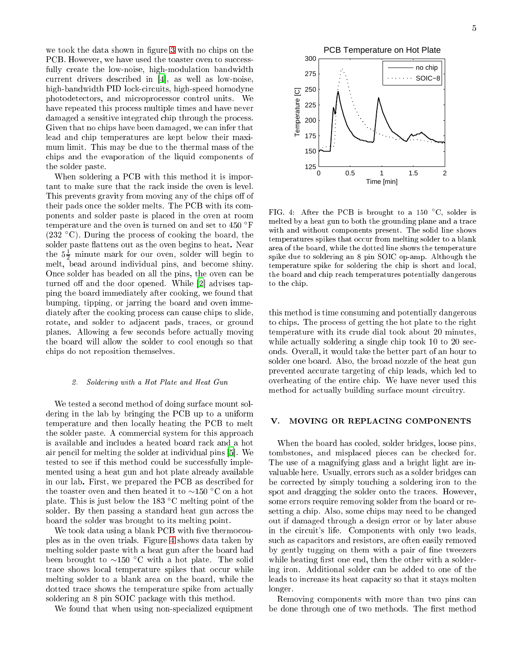we took the data shown in figure [3](#page-3-0) with no chips on the PCB. However, we have used the toaster oven to successfully create the low-noise, high-modulation bandwidth current drivers described in [4], as well as low-noise, high-bandwidth PID lo
kir
uits, high-speed homodyne photodete
tors, and mi
ropro
essor ontrol units. We have repeated this process multiple times and have never damaged a sensitive integrated chip through the process. Given that no chips have been damaged, we can infer that lead and chip temperatures are kept below their maximum limit. This may be due to the thermal mass of the chips and the evaporation of the liquid components of the solder paste.

When soldering a PCB with this method it is important to make sure that the rack inside the oven is level. This prevents gravity from moving any of the chips off of their pads on
e the solder melts. The PCB with its omponents and solder paste is pla
ed in the oven at room temperature and the oven is turned on and set to <sup>450</sup> ◦F  $(232 \text{ °C})$ . During the process of cooking the board, the solder paste flattens out as the oven begins to heat. Near the  $5\frac{1}{2}$  minute mark for our oven, solder will begin to melt, bead around individual pins, and be
ome shiny. On
e solder has beaded on all the pins, the oven an be turned off and the door opened. While  $[2]$  advises tapping the board immediately after ooking, we found that bumping, tipping, or jarring the board and oven immediately after the cooking process can cause chips to slide, rotate, and solder to adja
ent pads, tra
es, or ground planes. Allowing a few seconds before actually moving the board will allow the solder to cool enough so that hips do not reposition themselves.

### 2. Soldering with a Hot Plate and Heat Gun

We tested a second method of doing surface mount soldering in the lab by bringing the PCB up to a uniform temperature and then lo
ally heating the PCB to melt the solder paste. A ommer
ial system for this approa
h is available and in
ludes a heated board ra
k and a hot air pencil for melting the solder at individual pins [5]. We tested to see if this method could be successfully implemented using a heat gun and hot plate already available in our lab. First, we prepared the PCB as des
ribed for the toaster oven and then heated it to ∼150 ◦C on a hot plate. This is just below the 183 ◦<sup>C</sup> melting point of the solder. By then passing a standard heat gun across the board the solder was brought to its melting point.

We took data using a blank PCB with five thermocouples as in the oven trials. Figure [4](#page-4-1) shows data taken by melting solder paste with a heat gun after the board had been brought to ∼150 ◦C with a hot plate. The solid trace shows local temperature spikes that occur while melting solder to a blank area on the board, while the dotted trace shows the temperature spike from actually soldering an 8 pin SOIC pa
kage with this method.

We found that when using non-specialized equipment



<span id="page-4-1"></span>FIG. 4: After the PCB is brought to a 150  $°C$ , solder is melted by a heat gun to both the grounding plane and a tra
e with and without omponents present. The solid line shows temperatures spikes that occur from melting solder to a blank area of the board, while the dotted line shows the temperature spike due to soldering an 8 pin SOIC op-amp. Although the temperature spike for soldering the chip is short and local, the board and hip rea
h temperatures potentially dangerous to the chip.

this method is time onsuming and potentially dangerous to hips. The pro
ess of getting the hot plate to the right temperature with its rude dial took about 20 minutes, while actually soldering a single chip took 10 to 20 sec onds. Overall, it would take the better part of an hour to solder one board. Also, the broad nozzle of the heat gun prevented accurate targeting of chip leads, which led to overheating of the entire hip. We have never used this method for actually building surface mount circuitry.

# <span id="page-4-0"></span>V. MOVING OR REPLACING COMPONENTS

When the board has ooled, solder bridges, loose pins, tombstones, and misplaced pieces can be checked for. The use of a magnifying glass and a bright light are invaluable here. Usually, errors su
h as a solder bridges an be orre
ted by simply tou
hing a soldering iron to the spot and dragging the solder onto the tra
es. However, some errors require removing solder from the board or resetting a chip. Also, some chips may need to be changed out if damaged through a design error or by later abuse in the circuit's life. Components with only two leads, such as capacitors and resistors, are often easily removed by gently tugging on them with a pair of fine tweezers while heating first one end, then the other with a soldering iron. Additional solder can be added to one of the leads to increase its heat capacity so that it stays molten longer.

Removing components with more than two pins can be done through one of two methods. The first method